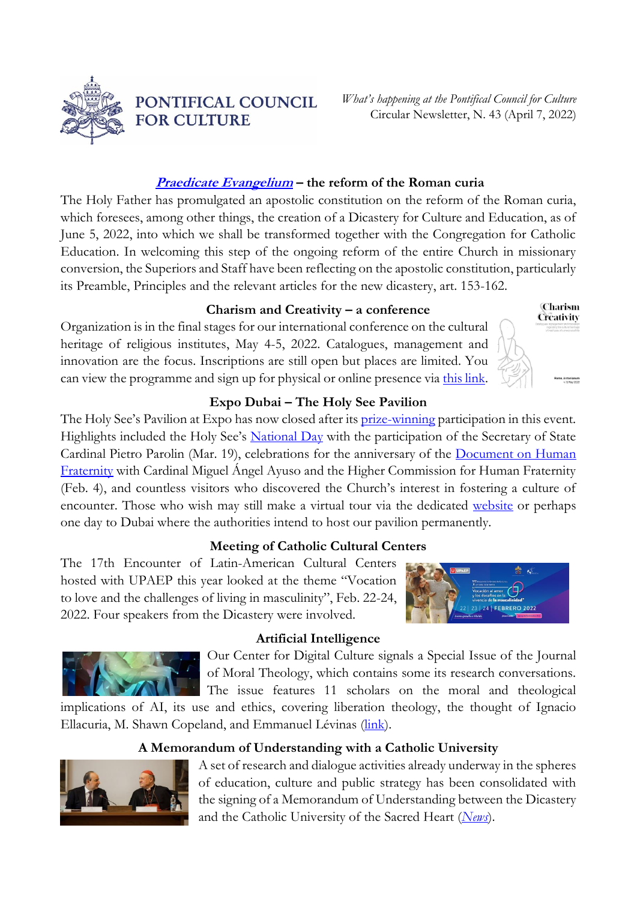

PONTIFICAL COUNCIL **FOR CULTURE** 

*What's happening at the Pontifical Council for Culture* Circular Newsletter, N. 43 (April 7, 2022)

### **[Praedicate Evangelium](https://www.vatican.va/content/francesco/it/apost_constitutions/documents/20220319-costituzione-ap-praedicate-evangelium.html) – the reform of the Roman curia**

The Holy Father has promulgated an apostolic constitution on the reform of the Roman curia, which foresees, among other things, the creation of a Dicastery for Culture and Education, as of June 5, 2022, into which we shall be transformed together with the Congregation for Catholic Education. In welcoming this step of the ongoing reform of the entire Church in missionary conversion, the Superiors and Staff have been reflecting on the apostolic constitution, particularly its Preamble, Principles and the relevant articles for the new dicastery, art. 153-162.

#### **Charism and Creativity – a conference**

Organization is in the final stages for our international conference on the cultural heritage of religious institutes, May 4-5, 2022. Catalogues, management and innovation are the focus. Inscriptions are still open but places are limited. You can view the programme and sign up for physical or online presence via [this link.](http://www.cultura.va/content/cultura/en/eventi/major/carismaecreativita.html)

#### **Expo Dubai – The Holy See Pavilion**

The Holy See's Pavilion at Expo has now closed after its **prize-winning** participation in this event. Highlights included the Holy See's **[National Day](https://www.vaticannews.va/it/vaticano/news/2022-03/parolin-expo-dubai-emirati-arabi-fratellanza-educazione-pace.html)** with the participation of the Secretary of State Cardinal Pietro Parolin (Mar. 19), celebrations for the anniversary of the Document on Human [Fraternity](https://www.vatican.va/content/francesco/en/travels/2019/outside/documents/papa-francesco_20190204_documento-fratellanza-umana.html) with Cardinal Miguel Ángel Ayuso and the Higher Commission for Human Fraternity (Feb. 4), and countless visitors who discovered the Church's interest in fostering a culture of encounter. Those who wish may still make a virtual tour via the dedicated [website](https://vaticanexpo.com/) or perhaps one day to Dubai where the authorities intend to host our pavilion permanently.

#### **Meeting of Catholic Cultural Centers**

The 17th Encounter of Latin-American Cultural Centers hosted with UPAEP this year looked at the theme "Vocation to love and the challenges of living in masculinity", Feb. 22-24, 2022. Four speakers from the Dicastery were involved.

#### **Artificial Intelligence**

Our Center for Digital Culture signals a Special Issue of the Journal of Moral Theology, which contains some its research conversations. The issue features 11 scholars on the moral and theological

implications of AI, its use and ethics, covering liberation theology, the thought of Ignacio Ellacuria, M. Shawn Copeland, and Emmanuel Lévinas [\(link\)](https://jmt.scholasticahq.com/issue/4236).

## **A Memorandum of Understanding with a Catholic University**



A set of research and dialogue activities already underway in the spheres of education, culture and public strategy has been consolidated with the signing of a Memorandum of Understanding between the Dicastery and the Catholic University of the Sacred Heart (*[News](https://secondotempo.cattolicanews.it/news-collaborazione-tra-il-pontificio-consiglio-della-cultura-e-l-universita-cattolica-del-sacro-cuore?utm_medium=Social&utm_source=Twitter)*).